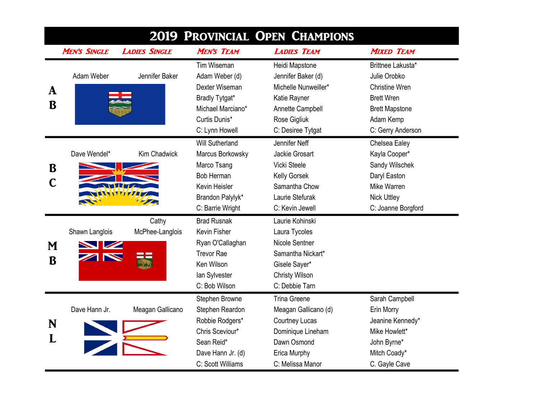|                  |                                                           |                            |                                                                                                                                         | 2019 PROVINCIAL OPEN CHAMPIONS                                                                                                        |                                                                                                                                            |
|------------------|-----------------------------------------------------------|----------------------------|-----------------------------------------------------------------------------------------------------------------------------------------|---------------------------------------------------------------------------------------------------------------------------------------|--------------------------------------------------------------------------------------------------------------------------------------------|
|                  | <b>MEN'S SINGLE</b>                                       | <b>LADIES SINGLE</b>       | <b>MEN'S TEAM</b>                                                                                                                       | <b>LADIES TEAM</b>                                                                                                                    | <b>MIXED TEAM</b>                                                                                                                          |
| A<br>B           | Adam Weber                                                | Jennifer Baker             | Tim Wiseman<br>Adam Weber (d)<br>Dexter Wiseman<br>Bradly Tytgat*<br>Michael Marciano*<br>Curtis Dunis*<br>C: Lynn Howell               | Heidi Mapstone<br>Jennifer Baker (d)<br>Michelle Nunweiller*<br>Katie Rayner<br>Annette Campbell<br>Rose Gigliuk<br>C: Desiree Tytgat | Brittnee Lakusta*<br>Julie Orobko<br><b>Christine Wren</b><br><b>Brett Wren</b><br><b>Brett Mapstone</b><br>Adam Kemp<br>C: Gerry Anderson |
| B<br>$\mathbf C$ | Dave Wendel*                                              | Kim Chadwick<br>NY Y TITLE | <b>Will Sutherland</b><br>Marcus Borkowsky<br>Marco Tsang<br><b>Bob Herman</b><br>Kevin Heisler<br>Brandon Palylyk*<br>C: Barrie Wright | Jennifer Neff<br><b>Jackie Grosart</b><br>Vicki Steele<br><b>Kelly Gorsek</b><br>Samantha Chow<br>Laurie Stefurak<br>C: Kevin Jewell  | Chelsea Ealey<br>Kayla Cooper*<br>Sandy Wilschek<br>Daryl Easton<br>Mike Warren<br><b>Nick Uttley</b><br>C: Joanne Borgford                |
| M<br>B           | Shawn Langlois<br>$\blacksquare$<br>$\blacktriangleright$ | Cathy<br>McPhee-Langlois   | <b>Brad Rusnak</b><br>Kevin Fisher<br>Ryan O'Callaghan<br><b>Trevor Rae</b><br>Ken Wilson<br>lan Sylvester<br>C: Bob Wilson             | Laurie Kohinski<br>Laura Tycoles<br>Nicole Sentner<br>Samantha Nickart*<br>Gisele Sayer*<br><b>Christy Wilson</b><br>C: Debbie Tarn   |                                                                                                                                            |
| N<br>L           | Dave Hann Jr.                                             | Meagan Gallicano           | Stephen Browne<br>Stephen Reardon<br>Robbie Rodgers*<br>Chris Sceviour*<br>Sean Reid*<br>Dave Hann Jr. (d)<br>C: Scott Williams         | <b>Trina Greene</b><br>Meagan Gallicano (d)<br>Courtney Lucas<br>Dominique Lineham<br>Dawn Osmond<br>Erica Murphy<br>C: Melissa Manor | Sarah Campbell<br>Erin Morry<br>Jeanine Kennedy*<br>Mike Howlett*<br>John Byrne*<br>Mitch Coady*<br>C. Gayle Cave                          |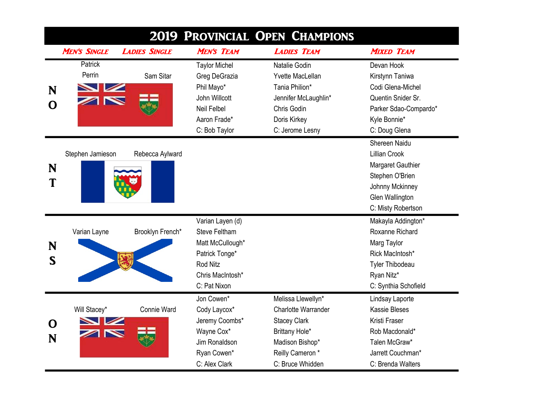|        |                                               |                      |                                                                                                                                       | <b>2019 PROVINCIAL OPEN CHAMPIONS</b>                                                                                                                |                                                                                                                                         |
|--------|-----------------------------------------------|----------------------|---------------------------------------------------------------------------------------------------------------------------------------|------------------------------------------------------------------------------------------------------------------------------------------------------|-----------------------------------------------------------------------------------------------------------------------------------------|
|        | <b>MEN'S SINGLE</b>                           | <b>LADIES SINGLE</b> | <b>MEN'S TEAM</b>                                                                                                                     | <b>LADIES TEAM</b>                                                                                                                                   | <b>MIXED TEAM</b>                                                                                                                       |
| N<br>O | Patrick<br>Perrin<br>$\overline{\mathscr{L}}$ | Sam Sitar            | <b>Taylor Michel</b><br>Greg DeGrazia<br>Phil Mayo*                                                                                   | Natalie Godin<br><b>Yvette MacLellan</b><br>Tania Philion*                                                                                           | Devan Hook<br>Kirstynn Taniwa<br>Codi Glena-Michel                                                                                      |
|        | N                                             |                      | John Willcott<br><b>Neil Felbel</b><br>Aaron Frade*<br>C: Bob Taylor                                                                  | Jennifer McLaughlin*<br>Chris Godin<br>Doris Kirkey<br>C: Jerome Lesny                                                                               | Quentin Snider Sr.<br>Parker Sdao-Compardo*<br>Kyle Bonnie*<br>C: Doug Glena                                                            |
| N<br>T | Stephen Jamieson                              | Rebecca Aylward      |                                                                                                                                       |                                                                                                                                                      | Shereen Naidu<br><b>Lillian Crook</b><br>Margaret Gauthier                                                                              |
|        |                                               |                      |                                                                                                                                       |                                                                                                                                                      | Stephen O'Brien<br>Johnny Mckinney<br>Glen Wallington<br>C: Misty Robertson                                                             |
| N<br>S | Varian Layne                                  | Brooklyn French*     | Varian Layen (d)<br><b>Steve Feltham</b><br>Matt McCullough*<br>Patrick Tonge*<br><b>Rod Nitz</b><br>Chris MacIntosh*<br>C: Pat Nixon |                                                                                                                                                      | Makayla Addington*<br>Roxanne Richard<br>Marg Taylor<br>Rick MacIntosh*<br><b>Tyler Thibodeau</b><br>Ryan Nitz*<br>C: Synthia Schofield |
| O<br>N | Will Stacey*<br>Z                             | Connie Ward          | Jon Cowen*<br>Cody Laycox*<br>Jeremy Coombs*<br>Wayne Cox*<br>Jim Ronaldson<br>Ryan Cowen*<br>C: Alex Clark                           | Melissa Llewellyn*<br><b>Charlotte Warrander</b><br><b>Stacey Clark</b><br>Brittany Hole*<br>Madison Bishop*<br>Reilly Cameron *<br>C: Bruce Whidden | Lindsay Laporte<br><b>Kassie Bleses</b><br>Kristi Fraser<br>Rob Macdonald*<br>Talen McGraw*<br>Jarrett Couchman*<br>C: Brenda Walters   |